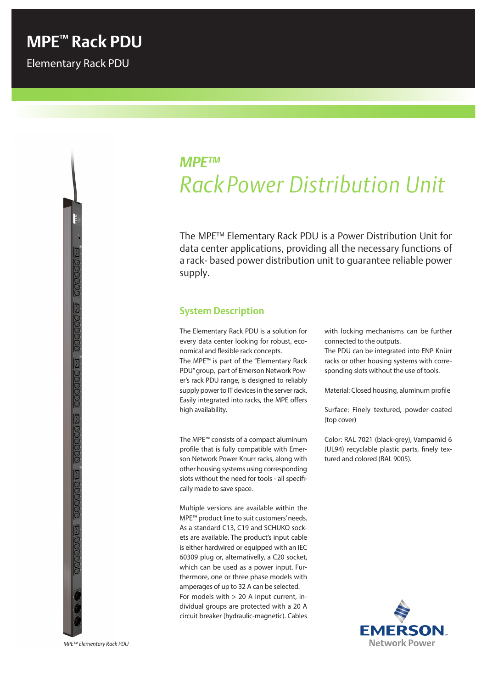# *MPE™ Rack Power Distribution Unit*

The MPE™ Elementary Rack PDU is a Power Distribution Unit for data center applications, providing all the necessary functions of a rack- based power distribution unit to guarantee reliable power supply.

#### **System Description**

high availability.

The Elementary Rack PDU is a solution for every data center looking for robust, economical and flexible rack concepts. The MPE™ is part of the "Elementary Rack PDU" group, part of Emerson Network Power's rack PDU range, is designed to reliably supply power to IT devices in the server rack. Easily integrated into racks, the MPE offers

The MPE™ consists of a compact aluminum profile that is fully compatible with Emerson Network Power Knurr racks, along with other housing systems using corresponding slots without the need for tools - all specifically made to save space.

Multiple versions are available within the MPE™ product line to suit customers' needs. As a standard C13, C19 and SCHUKO sockets are available. The product's input cable is either hardwired or equipped with an IEC 60309 plug or, alternativelly, a C20 socket, which can be used as a power input. Furthermore, one or three phase models with amperages of up to 32 A can be selected. For models with > 20 A input current, individual groups are protected with a 20 A circuit breaker (hydraulic-magnetic). Cables

with locking mechanisms can be further connected to the outputs.

The PDU can be integrated into ENP Knürr racks or other housing systems with corresponding slots without the use of tools.

Material: Closed housing, aluminum profile

Surface: Finely textured, powder-coated (top cover)

Color: RAL 7021 (black-grey), Vampamid 6 (UL94) recyclable plastic parts, finely textured and colored (RAL 9005).